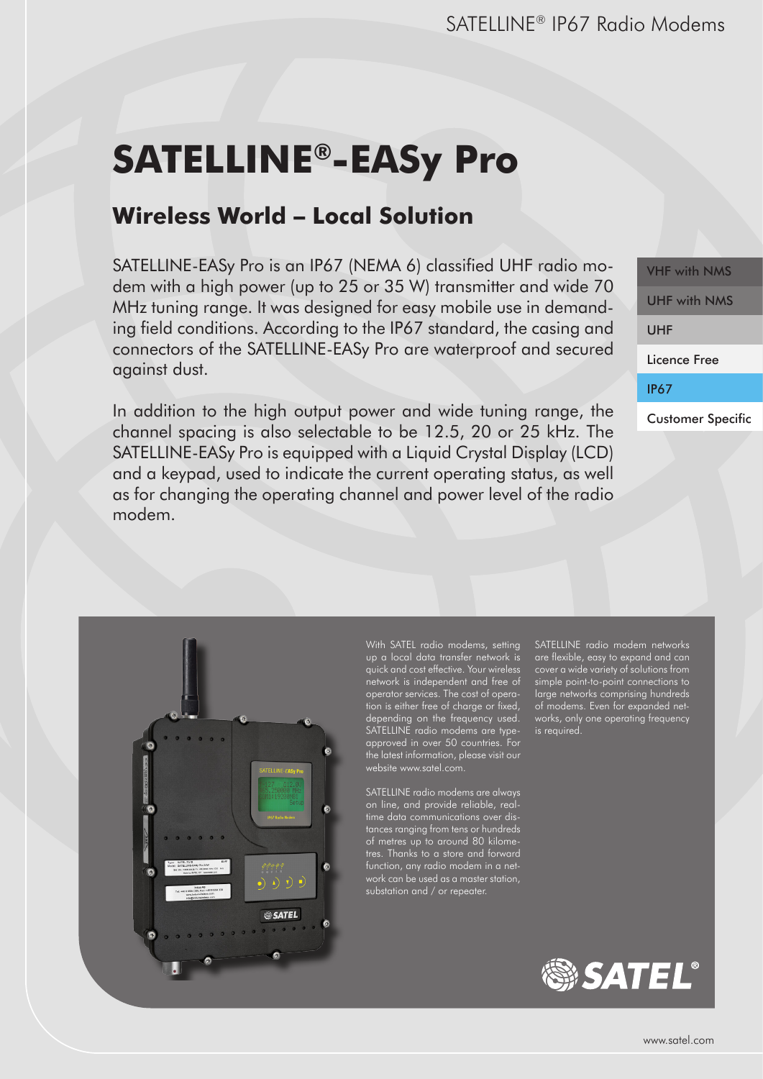# **SATELLINE®-EASy Pro**

# **Wireless World – Local Solution**

SATELLINE-EASy Pro is an IP67 (NEMA 6) classified UHF radio modem with a high power (up to 25 or 35 W) transmitter and wide 70 MHz tuning range. It was designed for easy mobile use in demanding field conditions. According to the IP67 standard, the casing and connectors of the SATELLINE-EASy Pro are waterproof and secured against dust.

In addition to the high output power and wide tuning range, the channel spacing is also selectable to be 12.5, 20 or 25 kHz. The SATELLINE-EASy Pro is equipped with a Liquid Crystal Display (LCD) and a keypad, used to indicate the current operating status, as well as for changing the operating channel and power level of the radio modem.

VHF with NMS UHF with NMS UHF Licence Free IP67 Customer Specific



With SATEL radio modems, setting quick and cost effective. Your wireless network is independent and free of operator services. The cost of operation is either free of charge or fixed, depending on the frequency used. SATELLINE radio modems are typeapproved in over 50 countries. For the latest information, please visit our website www.satel.com.

SATELLINE radio modems are always on line, and provide reliable, realtime data communications over distances ranging from tens or hundreds of metres up to around 80 kilometres. Thanks to a store and forward substation and / or repeater.

SATELLINE radio modem networks are flexible, easy to expand and can cover a wide variety of solutions from simple point-to-point connections to large networks comprising hundreds of modems. Even for expanded networks, only one operating frequency is required.